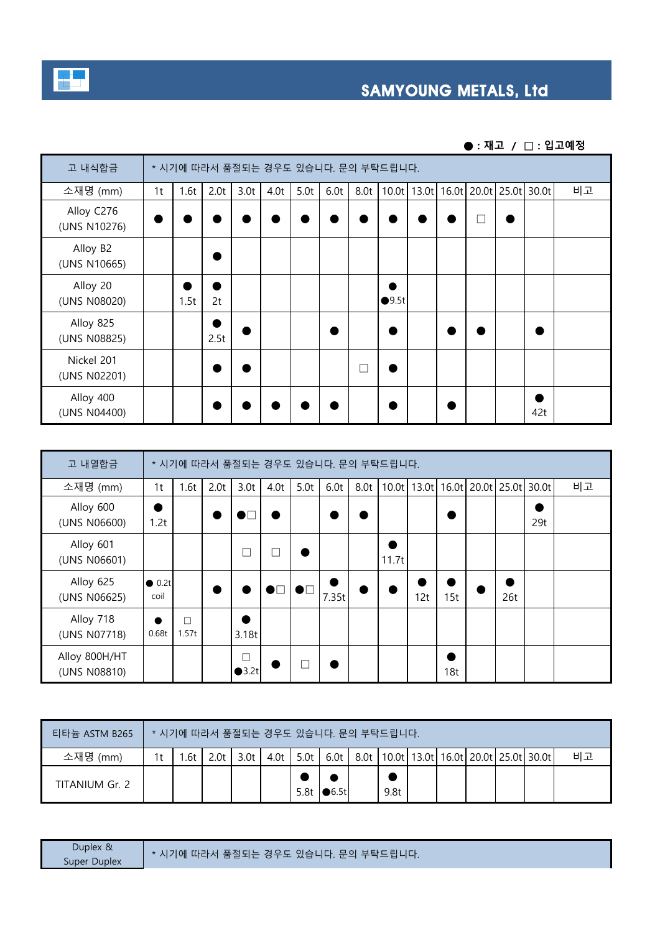

## **SAMYOUNG METALS, Ltd**

**● : 재고 / □ : 입고예정**

| 고 내식합금                     |    | * 시기에 따라서 품절되는 경우도 있습니다. 문의 부탁드립니다. |                  |                  |      |      |      |      |       |  |  |                          |                                     |    |
|----------------------------|----|-------------------------------------|------------------|------------------|------|------|------|------|-------|--|--|--------------------------|-------------------------------------|----|
| 소재명 (mm)                   | 1t | 1.6t                                | 2.0 <sub>t</sub> | 3.0 <sub>t</sub> | 4.0t | 5.0t | 6.0t | 8.0t |       |  |  |                          | 10.0t 13.0t 16.0t 20.0t 25.0t 30.0t | 비고 |
| Alloy C276<br>(UNS N10276) |    |                                     |                  |                  |      |      |      |      |       |  |  | $\overline{\phantom{a}}$ |                                     |    |
| Alloy B2<br>(UNS N10665)   |    |                                     |                  |                  |      |      |      |      |       |  |  |                          |                                     |    |
| Alloy 20<br>(UNS N08020)   |    | 1.5t                                | 2t               |                  |      |      |      |      | •9.5t |  |  |                          |                                     |    |
| Alloy 825<br>(UNS N08825)  |    |                                     | 2.5t             |                  |      |      |      |      |       |  |  |                          |                                     |    |
| Nickel 201<br>(UNS N02201) |    |                                     |                  |                  |      |      |      | П    |       |  |  |                          |                                     |    |
| Alloy 400<br>(UNS N04400)  |    |                                     |                  |                  |      |      |      |      |       |  |  |                          | 42t                                 |    |

| 고 내열합금                        |                        | * 시기에 따라서 품절되는 경우도 있습니다. 문의 부탁드립니다. |                  |                  |                |              |            |      |       |     |     |                               |     |       |    |
|-------------------------------|------------------------|-------------------------------------|------------------|------------------|----------------|--------------|------------|------|-------|-----|-----|-------------------------------|-----|-------|----|
| 소재명 (mm)                      | 1t                     | 1.6t                                | 2.0 <sub>t</sub> | 3.0 <sub>t</sub> | 4.0t           | 5.0t         | 6.0t       | 8.0t |       |     |     | 10.0t 13.0t 16.0t 20.0t 25.0t |     | 30.0t | 비고 |
| Alloy 600<br>(UNS N06600)     | 9<br>1.2t              |                                     |                  |                  |                |              |            |      |       |     |     |                               |     | 29t   |    |
| Alloy 601<br>(UNS N06601)     |                        |                                     |                  | ┘                | $\Box$         |              |            |      | 11.7t |     |     |                               |     |       |    |
| Alloy 625<br>(UNS N06625)     | $\bullet$ 0.2t<br>coil |                                     |                  |                  | $\blacksquare$ | $\bullet$ nd | D<br>7.35t |      |       | 12t | 15t |                               | 26t |       |    |
| Alloy 718<br>(UNS N07718)     | ●<br>0.68t             | П<br>1.57t                          |                  | ٠<br>3.18t       |                |              |            |      |       |     |     |                               |     |       |    |
| Alloy 800H/HT<br>(UNS N08810) |                        |                                     |                  | П<br>•3.2t       |                |              |            |      |       |     | 18t |                               |     |       |    |

| 티타늄 ASTM B265  |    | * 시기에 따라서 품절되는 경우도 있습니다. 문의 부탁드립니다. |      |                  |      |      |                 |  |      |  |  |  |  |                                                      |    |
|----------------|----|-------------------------------------|------|------------------|------|------|-----------------|--|------|--|--|--|--|------------------------------------------------------|----|
| 소재명 (mm)       | 1+ | .6t                                 | 2.0t | 3.0 <sub>t</sub> | 4.0t | 5.0t | 6.0t            |  |      |  |  |  |  | 8.0t   10.0t   13.0t   16.0t   20.0t   25.0t   30.0t | 비고 |
| TITANIUM Gr. 2 |    |                                     |      |                  |      | 5.8t | $\bigcirc$ 6.5t |  | 9.8t |  |  |  |  |                                                      |    |

| <b>Duplex</b><br>211<br>└ 품절되는 경우도 있습니다 │<br>-무의<br>따라서<br>$\star$ $\lambda$<br>70 <sub>h</sub><br><b>Duplex</b><br>super |
|---------------------------------------------------------------------------------------------------------------------------|
|---------------------------------------------------------------------------------------------------------------------------|